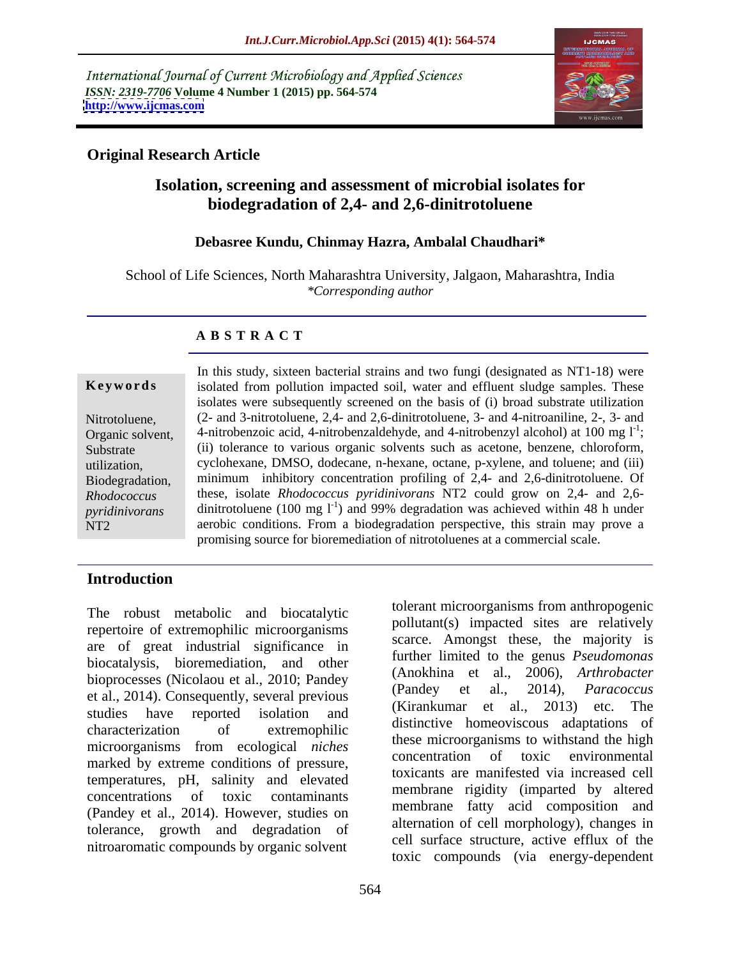International Journal of Current Microbiology and Applied Sciences *ISSN: 2319-7706* **Volume 4 Number 1 (2015) pp. 564-574 <http://www.ijcmas.com>**



### **Original Research Article**

## **Isolation, screening and assessment of microbial isolates for biodegradation of 2,4- and 2,6-dinitrotoluene**

#### **Debasree Kundu, Chinmay Hazra, Ambalal Chaudhari\***

School of Life Sciences, North Maharashtra University, Jalgaon, Maharashtra, India *\*Corresponding author* 

#### **A B S T R A C T**

NT2

In this study, sixteen bacterial strains and two fungi (designated as NT1-18) were **Keywords** isolated from pollution impacted soil, water and effluent sludge samples. These isolates were subsequently screened on the basis of (i) broad substrate utilization (2- and 3-nitrotoluene, 2,4- and 2,6-dinitrotoluene, 3- and 4-nitroaniline, 2-, 3- and Nitrotoluene, 4-nitrobenzoic acid, 4-nitrobenzaldehyde, and 4-nitrobenzyl alcohol) at 100 mg  $1^{-1}$ ; ; Organic solvent, 4-nitrobenzoic acid, 4-nitrobenzaldehyde, and 4-nitrobenzyl alcohol) at 100 mg l<sup>-1</sup>;<br>Substrate (ii) tolerance to various organic solvents such as acetone, benzene, chloroform, cyclohexane, DMSO, dodecane, n-hexane, octane, p-xylene, and toluene; and (iii) utilization, Biodegradation, minimum inhibitory concentration profiling of 2,4- and 2,6-dinitrotoluene. Of these, isolate *Rhodococcus pyridinivorans* NT2 could grow on 2,4- and 2,6- *Rhodococcus*  pyridinivorans dinitrotoluene (100 mg  $I<sup>-1</sup>$ ) and 99% degradation was achieved within 48 h under aerobic conditions. From a biodegradation perspective, this strain may prove a promising source for bioremediation of nitrotoluenes at a commercial scale.

### **Introduction**

The robust metabolic and biocatalytic repertoire of extremophilic microorganisms are of great industrial significance in biocatalysis, bioremediation, and other bioprocesses (Nicolaou et al., 2010; Pandey (Alloknina et al., 2000), Arintopacier<br>(Pandey et al., 2014), Paracoccus et al., 2014). Consequently, several previous studies have reported isolation and  $\left(\frac{N_H}{N_H}\right)$  and  $\left(\frac{N_H}{N_H}\right)$  and  $\left(\frac{N_H}{N_H}\right)$  and  $\left(\frac{N_H}{N_H}\right)$  and  $\left(\frac{N_H}{N_H}\right)$  and  $\left(\frac{N_H}{N_H}\right)$  and  $\left(\frac{N_H}{N_H}\right)$  and  $\left(\frac{N_H}{N_H}\right)$  and  $\left(\frac{N_H}{N_H}\right)$  and  $\left(\frac$ characterization of extremophilic unsulfully induced adaptations of microorganisms from ecological *niches* these incroorganisms to withstand the high marked by extreme conditions of pressure, temperatures, pH, salinity and elevated concentrations of toxic contaminants lietuvidue rigidity (imparted by altered (Pandey et al., 2014). However, studies on tolerance, growth and degradation of nitroaromatic compounds by organic solvent

pollutant(s) impacted sites are relatively scarce. Amongst these, the majority is further limited to the genus *Pseudomonas* (Anokhina et al., 2006), *Arthrobacter* (Pandey et al., 2014), *Paracoccus* (Kirankumar et al., 2013) etc. The distinctive homeoviscous adaptations of these microorganisms to withstand the high concentration of toxic toxicants are manifested via increased cell membrane rigidity (imparted by altered membrane fatty acid composition and alternation of cell morphology), changes in cell surface structure, active efflux of the toxic compounds (via energy-dependent

tolerant microorganisms from anthropogenic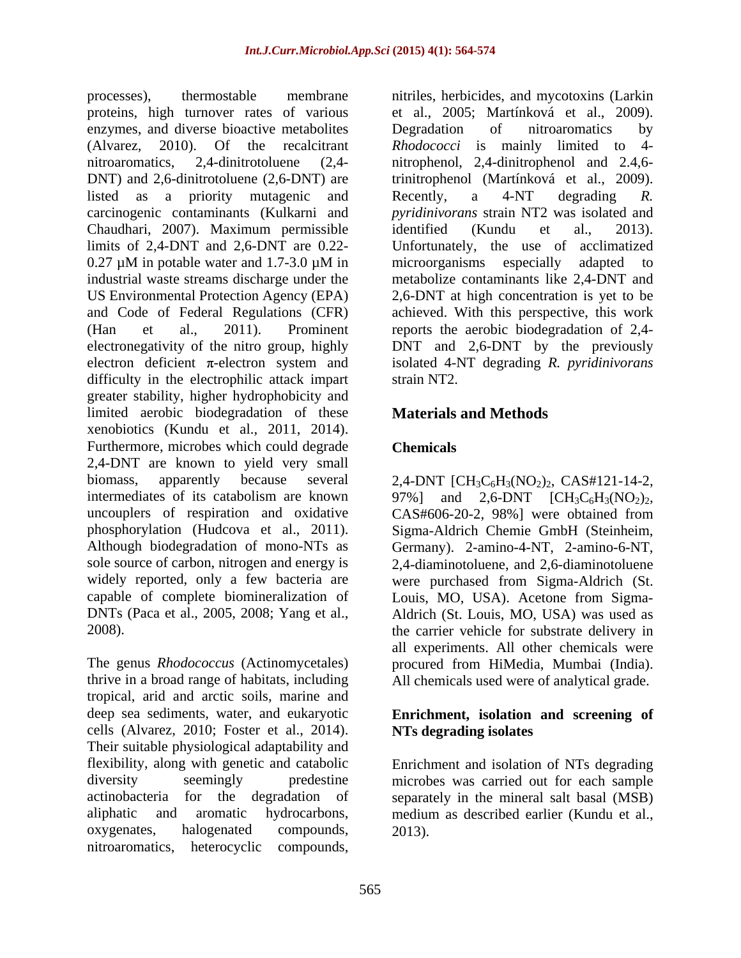proteins, high turnover rates of various enzymes, and diverse bioactive metabolites begandation of nitroaromatics by DNT) and 2,6-dinitrotoluene (2,6-DNT) are listed as a priority mutagenic and Recently, a 4-NT degrading R. Chaudhari, 2007). Maximum permissible limits of 2,4-DNT and 2,6-DNT are 0.22 difficulty in the electrophilic attack impart strain NT2. greater stability, higher hydrophobicity and limited aerobic biodegradation of these xenobiotics (Kundu et al., 2011, 2014). Furthermore, microbes which could degrade Chemicals 2,4-DNT are known to yield very small biomass, apparently because several  $2,4-DNT$  [CH<sub>3</sub>C<sub>6</sub>H<sub>3</sub>(NO<sub>2</sub>)<sub>2</sub>, CAS#121-14-2, intermediates of its catabolism are known  $97\%$  and  $2,6-DNT$   $[CH_3C_6H_3(NO_2)_2,$ uncouplers of respiration and oxidative CAS#606-20-2, 98%] were obtained from phosphorylation (Hudcova et al., 2011). Sigma-Aldrich Chemie GmbH (Steinheim, Although biodegradation of mono-NTs as Germany). 2-amino-4-NT, 2-amino-6-NT, sole source of carbon, nitrogen and energy is widely reported, only a few bacteria are were purchased from Sigma-Aldrich (St. capable of complete biomineralization of Louis, MO, USA). Acetone from Sigma- DNTs (Paca et al., 2005, 2008; Yang et al., Aldrich (St. Louis, MO, USA) was used as

The genus *Rhodococcus* (Actinomycetales) procured from HiMedia, Mumbai (India). thrive in a broad range of habitats, including All chemicals used were of analytical grade. tropical, arid and arctic soils, marine and deep sea sediments, water, and eukaryotic **Enrichment, isolation and screening of** cells (Alvarez, 2010; Foster et al., 2014). Their suitable physiological adaptability and flexibility, along with genetic and catabolic Enrichment and isolation of NTs degrading diversity seemingly predestine microbes was carried out for each sample actinobacteria for the degradation of separately in the mineral salt basal (MSB) aliphatic and aromatic hydrocarbons, medium as described earlier (Kundu et al., oxygenates, halogenated compounds, nitroaromatics, heterocyclic compounds,

processes), thermostable membrane nitriles, herbicides, and mycotoxins (Larkin (Alvarez, 2010). Of the recalcitrant *Rhodococci* is mainly limited to 4 nitroaromatics, 2,4-dinitrotoluene (2,4- nitrophenol, 2,4-dinitrophenol and 2.4,6 carcinogenic contaminants (Kulkarni and *pyridinivorans* strain NT2 was isolated and 0.27 µM in potable water and 1.7-3.0 µM in industrial waste streams discharge under the metabolize contaminants like 2,4-DNT and US Environmental Protection Agency (EPA) 2,6-DNT at high concentration is yet to be and Code of Federal Regulations (CFR) achieved. With this perspective, this work (Han et al., 2011). Prominent reports the aerobic biodegradation of 2,4 electronegativity of the nitro group, highly DNT and 2,6-DNT by the previously electron deficient π-electron system and isolated 4-NT degrading *R. pyridinivorans* et al., 2005; Martínková et al., 2009). Degradation of nitroaromatics by trinitrophenol (Martínková et al., 2009). Recently, a 4-NT degrading *R.*  identified (Kundu et al., 2013). Unfortunately, the use of acclimatized microorganisms especially adapted to strain NT2.

## **Materials and Methods**

## **Chemicals**

2008). the carrier vehicle for substrate delivery in 97%] and 2,6-DNT  $[CH_3C_6H_3(NO_2)_2,$ <br>CAS#606-20-2, 98%] were obtained from 2,4-diaminotoluene, and 2,6-diaminotoluene all experiments. All other chemicals were

# **NTs degrading isolates**

2013).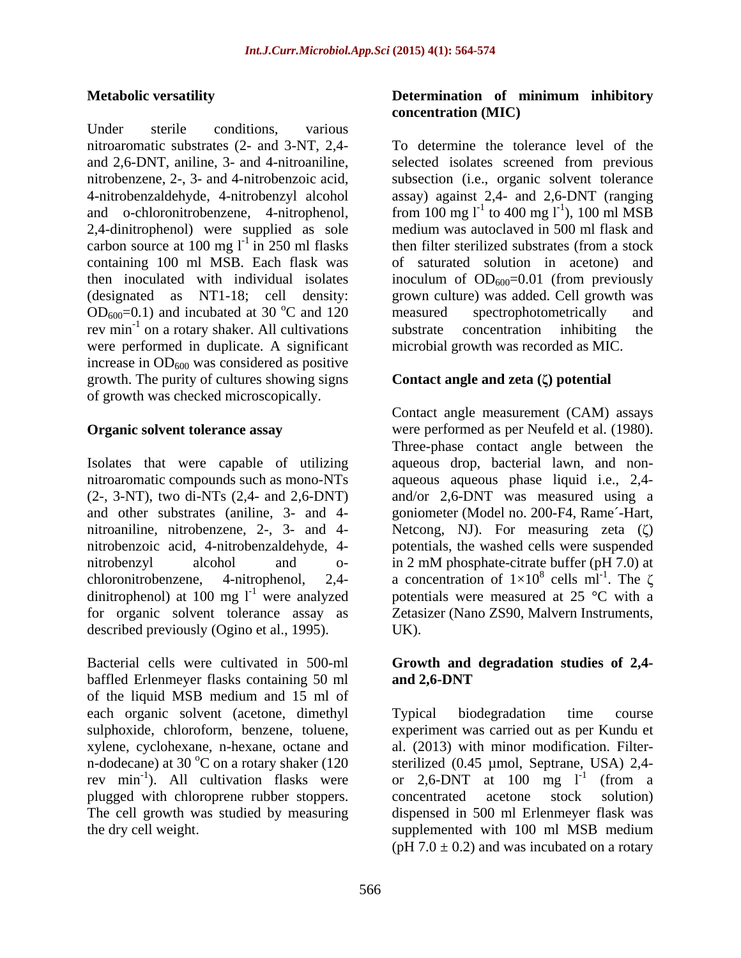Under sterile conditions, various carbon source at 100 mg  $l^{-1}$  in 250 ml flasks then filter sterilized substrates (from a stock  $OD_{600}=0.1$ ) and incubated at 30 °C and 120 measured spectrophotometrically and were performed in duplicate. A significant increase in  $OD_{600}$  was considered as positive growth. The purity of cultures showing signs of growth was checked microscopically.

nitrobenzoic acid, 4-nitrobenzaldehyde, 4 dinitrophenol) at 100 mg  $l^{-1}$  were analyzed<br>for organic solvent tolerance assay as described previously (Ogino et al., 1995). UK).

Bacterial cells were cultivated in 500-ml **Growth and degradation studies of 2,4** baffled Erlenmeyer flasks containing 50 ml and 2,6-DNT of the liquid MSB medium and 15 ml of each organic solvent (acetone, dimethyl xylene, cyclohexane, n-hexane, octane and n-dodecane) at 30  $^{\circ}$ C on a rotary shaker (120 rev min<sup>-1</sup>). All cultivation flasks were plugged with chloroprene rubber stoppers.

### **Metabolic versatility Determination of minimum inhibitory concentration (MIC)**

nitroaromatic substrates (2- and 3-NT, 2,4- To determine the tolerance level of the and 2,6-DNT, aniline, 3- and 4-nitroaniline, selected isolates screened from previous nitrobenzene, 2-, 3- and 4-nitrobenzoic acid, subsection (i.e., organic solvent tolerance 4-nitrobenzaldehyde, 4-nitrobenzyl alcohol assay) against 2,4- and 2,6-DNT (ranging and o-chloronitrobenzene, 4-nitrophenol, from 100 mg  $l^{-1}$  to 400 mg  $l^{-1}$ ), 100 ml MSB 2,4-dinitrophenol) were supplied as sole medium was autoclaved in 500 ml flask and containing 100 ml MSB. Each flask was of saturated solution in acetone) and then inoculated with individual isolates inoculum of  $OD_{600}=0.01$  (from previously (designated as NT1-18; cell density: grown culture) was added. Cell growth was <sup>o</sup>C and 120 measured spectrophotometrically and rev min<sup>-1</sup> on a rotary shaker. All cultivations substrate concentration inhibiting the ), 100 ml MSB then filter sterilized substrates (from a stock measured spectrophotometrically and substrate concentration inhibiting the microbial growth was recorded as MIC.

#### **Contact angle and zeta ( ) potential**

**Organic solvent tolerance assay** were performed as per Neufeld et al. (1980). Isolates that were capable of utilizing aqueous drop, bacterial lawn, and non nitroaromatic compounds such as mono-NTs aqueous aqueous phase liquid i.e., 2,4- (2-, 3-NT), two di-NTs (2,4- and 2,6-DNT) and/or 2,6-DNT was measured using a and other substrates (aniline, 3- and 4- goniometer (Model no. 200-F4, Rame´-Hart, nitroaniline, nitrobenzene, 2-, 3- and 4- Netcong, NJ). For measuring zeta ( $\zeta$ ) nitrobenzyl alcohol and o- in 2 mM phosphate-citrate buffer (pH 7.0) at chloronitrobenzene, 4-nitrophenol, 2,4- a concentration of  $1\times10^8$  cells ml<sup>-1</sup>. The  $\zeta$ were analyzed potentials were measured at 25 °C with a for organic solvent tolerance assay as Zetasizer (Nano ZS90, Malvern Instruments, Contact angle measurement (CAM) assays Three-phase contact angle between the potentials, the washed cells were suspended  $8$  colla m<sup>1-1</sup> The  $\gamma$ cells ml<sup>-1</sup>. The  $\zeta$ . The  $\zeta$ UK).

# **and 2,6-DNT**

sulphoxide, chloroform, benzene, toluene, experiment was carried out as per Kundu et <sup>-1</sup>). All cultivation flasks were or 2,6-DNT at 100 mg  $1^{-1}$  (from a The cell growth was studied by measuring dispensed in 500 ml Erlenmeyer flask was the dry cell weight. supplemented with 100 ml MSB medium Typical biodegradation time course al. (2013) with minor modification. Filter sterilized (0.45 µmol, Septrane, USA) 2,4-(from a concentrated acetone stock solution) (pH  $7.0 \pm 0.2$ ) and was incubated on a rotary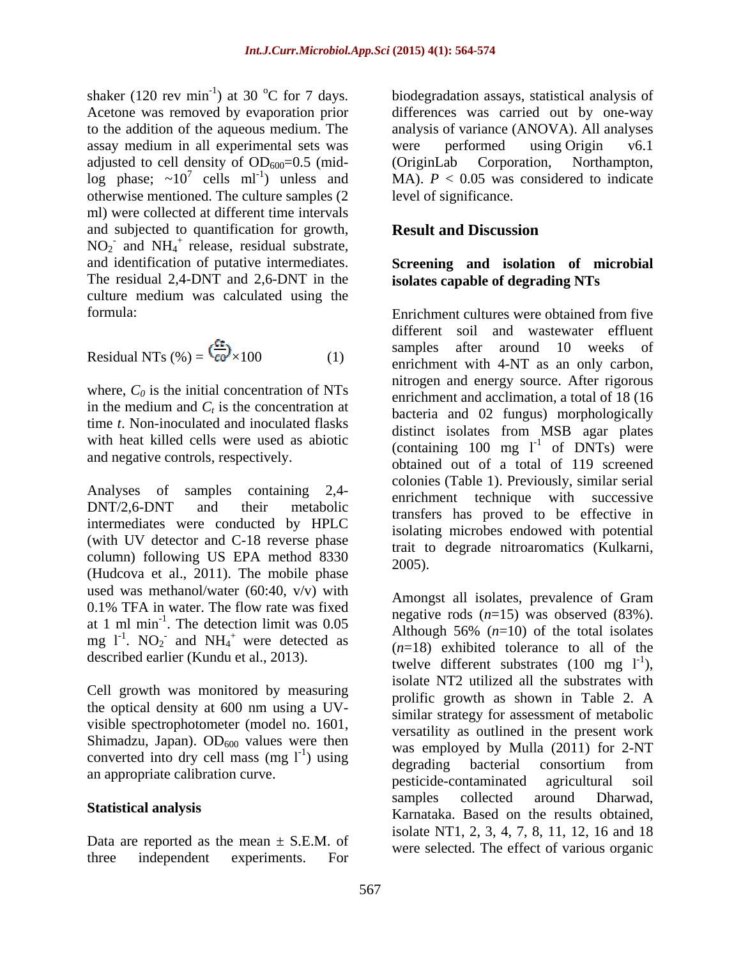shaker (120 rev min<sup>-1</sup>) at 30 °C for 7 days. biodegradation assays, statistical analysis of Acetone was removed by evaporation prior assay medium in all experimental sets was were performed using Origin v6.1 adjusted to cell density of  $OD_{600}=0.5$  (mid-<br>(OriginLab Corporation, Northampton, log phase;  $\sim 10^7$  cells ml<sup>-1</sup>) unless and otherwise mentioned. The culture samples (2 ml) were collected at different time intervals and subjected to quantification for growth, **Result and Discussion**  $NO<sub>2</sub>$  and  $NH<sub>4</sub>$ <sup>+</sup> release, residual substrate, and identification of putative intermediates. **Screening and isolation of microbial** The residual 2,4-DNT and 2,6-DNT in the culture medium was calculated using the

Residual NTs (
$$
\%
$$
) =  $\frac{c_{\text{co}}}{c_{\text{O}}} \times 100$  (1)

where,  $C_0$  is the initial concentration of NTs in the medium and  $C_t$  is the concentration at time *t*. Non-inoculated and inoculated flasks with heat killed cells were used as abiotic and negative controls, respectively.

intermediates were conducted by HPLC (with UV detector and C-18 reverse phase column) following US EPA method 8330  $\frac{\text{tan } \alpha}{2005}$ . (Hudcova et al.,  $2011$ ). The mobile phase used was methanol/water (60:40, v/v) with 0.1% TFA in water. The flow rate was fixed described earlier (Kundu et al., 2013).

Cell growth was monitored by measuring the optical density at 600 nm using a UV visible spectrophotometer (model no. 1601, Shimadzu, Japan).  $OD_{600}$  values were then converted into dry cell mass  $(mg l^{-1})$  using<br>degrading bacterial consortium from

Data are reported as the mean  $\pm$  S.E.M. of three independent experiments. For were selected: The effect of various organic

to the addition of the aqueous medium. The analysis of variance (ANOVA). All analyses <sup>7</sup> cells ml<sup>-1</sup>) unless and MA).  $P < 0.05$  was considered to indicate differences was carried out by one-way were performed using Origin v6.1 (OriginLab Corporation, Northampton, level of significance.

### **Result and Discussion**

# **isolates capable of degrading NTs**

formula: Enrichment cultures were obtained from five Residual NTs  $% = \frac{1}{2}$   $\epsilon_0$ <sup> $/$ </sup>  $\times$ 100 (1) enrichment with 4-NT as an only carbon, is the concentration at<br>bacteria and 02 fungus) morphologically Analyses of samples containing  $2,4$ -<br>enrichment technique with successive DNT/2,6-DNT and their metabolic transfers has proved to be effective in different soil and wastewater effluent samples after around 10 weeks of nitrogen and energy source. After rigorous enrichment and acclimation, a total of 18 (16 distinct isolates from MSB agar plates (containing 100 mg  $l^{-1}$  of DNTs) were of DNTs) were obtained out of a total of 119 screened colonies (Table 1). Previously, similar serial isolating microbes endowed with potential trait to degrade nitroaromatics (Kulkarni, 2005).

at 1 ml min<sup>-1</sup>. The detection limit was  $0.05$  he has  $h = \frac{\log_{\text{all}}(n-1)}{\log_{\text{all}}(n-1)}$  was observed  $(0.3\%)$ . mg  $1^{-1}$ . NO<sub>2</sub> and NH<sub>4</sub><sup>+</sup> were detected as  $(n-18)$  exhibited tolerance to all of the ) using  $\frac{1}{2}$  decreding became  $\frac{1}{2}$  consertium from an appropriate calibration curve.<br>
exicide-contaminated agricultural soil **Statistical analysis** Karnataka. Based on the results obtained, Amongst all isolates, prevalence of Gram negative rods (*n*=15) was observed (83%). Although  $56\%$   $(n=10)$  of the total isolates (*n*=18) exhibited tolerance to all of the twelve different substrates  $(100 \text{ mg } l^{-1})$ , ), isolate NT2 utilized all the substrates with prolific growth as shown in Table 2. A similar strategy for assessment of metabolic versatility as outlined in the present work was employed by Mulla (2011) for 2-NT degrading bacterial consortium from pesticide-contaminated agricultural soil samples collected around Dharwad, isolate NT1, 2, 3, 4, 7, 8, 11, 12, 16 and 18 were selected. The effect of various organic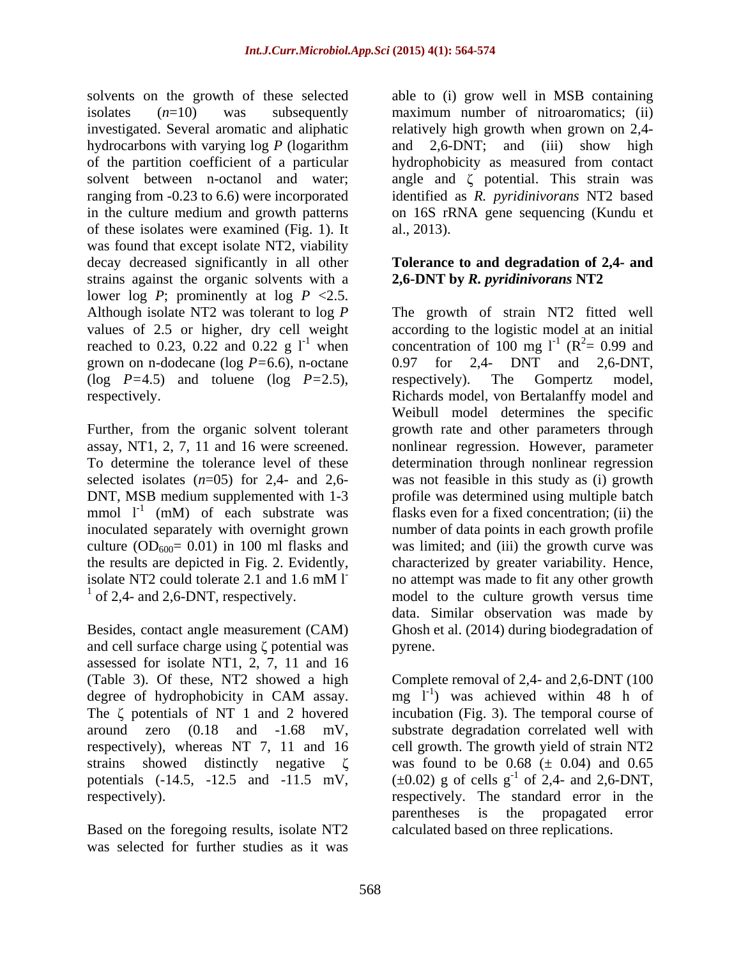of these isolates were examined (Fig. 1). It was found that except isolate NT2, viability decay decreased significantly in all other **Tolerance to and degradation of 2,4- and** strains against the organic solvents with a lower log *P*; prominently at log  $P \le 2.5$ . grown on n-dodecane ( $log P=6.6$ ), n-octane  $0.97$  for 2,4- DNT and 2,6-DNT, (log *P=*4.5) and toluene (log *P=*2.5),

DNT, MSB medium supplemented with 1-3 mmol  $l^{-1}$  (mM) of each substrate was inoculated separately with overnight grown

and cell surface charge using  $\zeta$  potential was pyrene. assessed for isolate NT1, 2, 7, 11 and 16

Based on the foregoing results, isolate NT2 was selected for further studies as it was

solvents on the growth of these selected able to (i) grow well in MSB containing isolates (*n*=10) was subsequently maximum number of nitroaromatics; (ii) investigated. Several aromatic and aliphatic relatively high growth when grown on 2,4 hydrocarbons with varying log *P* (logarithm and 2,6-DNT; and (iii) show high of the partition coefficient of a particular hydrophobicity as measured from contact solvent between n-octanol and water; angle and  $\zeta$  potential. This strain was ranging from -0.23 to 6.6) were incorporated identified as *R. pyridinivorans* NT2 based in the culture medium and growth patterns on 16S rRNA gene sequencing (Kundu et al., 2013).

# **2,6-DNT by** *R. pyridinivorans* **NT2**

Although isolate NT2 was tolerant to log *P* The growth of strain NT2 fitted well values of 2.5 or higher, dry cell weight according to the logistic model at an initial reached to 0.23, 0.22 and 0.22 g  $1^{-1}$  when concentration of 100 mg  $1^{-1}$  ( $R^2 = 0.99$  and respectively. Richards model, von Bertalanffy model and Further, from the organic solvent tolerant growth rate and other parameters through assay, NT1, 2, 7, 11 and 16 were screened. nonlinear regression. However, parameter To determine the tolerance level of these determination through nonlinear regression selected isolates  $(n=05)$  for 2,4- and 2,6- was not feasible in this study as (i) growth (mM) of each substrate was flasks even for a fixed concentration; (ii) the inoculated separately with overnight grown number of data points in each growth profile culture  $OD_{600} = 0.01$ ) in 100 ml flasks and was limited; and (iii) the growth curve was the results are depicted in Fig. 2. Evidently, characterized by greater variability. Hence, isolate NT2 could tolerate 2.1 and 1.6 mM l<sup>1</sup> mo attempt was made to fit any other growth of 2,4- and 2,6-DNT, respectively. model to the culture growth versus time Besides, contact angle measurement (CAM) Ghosh et al. (2014) during biodegradation of  $(R^2= 0.99$  and  $2 = 0.99$  and 0.97 for 2,4- DNT and 2,6-DNT, respectively). The Gompertz model, Weibull model determines the specific profile was determined using multiple batch no attempt was made to fit any other growth data. Similar observation was made by pyrene.

(Table 3). Of these, NT2 showed a high Complete removal of 2,4- and 2,6-DNT (100 degree of hydrophobicity in CAM assay.  $mg^{-1}$  was achieved within 48 h of The  $\zeta$  potentials of NT 1 and 2 hovered incubation (Fig. 3). The temporal course of around zero (0.18 and -1.68 mV, substrate degradation correlated well with respectively), whereas NT 7, 11 and 16 cell growth. The growth yield of strain NT2 strains showed distinctly negative  $\zeta$  was found to be 0.68 ( $\pm$  0.04) and 0.65 potentials  $(-14.5, -12.5 \text{ and } -11.5 \text{ mV})$ ,  $(\pm 0.02)$  g of cells g<sup>-1</sup> of 2,4- and 2,6-DNT, respectively). respectively. The standard error in the mg  $1^{-1}$ ) was achieved within 48 h of parentheses is the propagated error calculated based on three replications.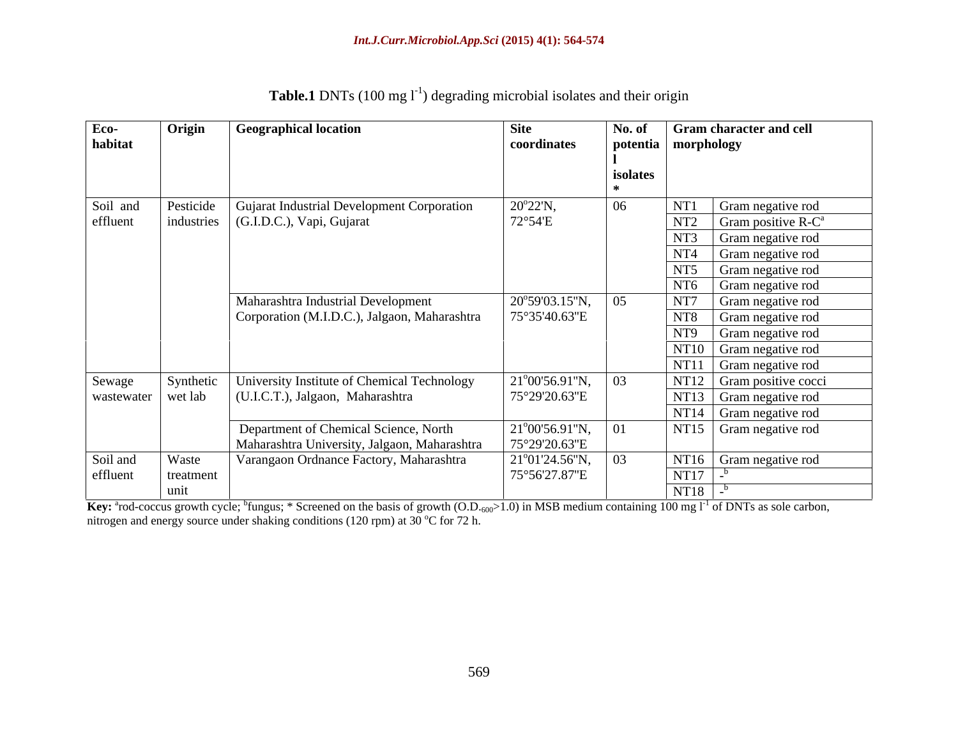| Eco-                 | Origin    | <b>Geographical location</b>                 | Site                               | No. of   | <b>Gram character and cell</b>           |
|----------------------|-----------|----------------------------------------------|------------------------------------|----------|------------------------------------------|
| habitat              |           |                                              | coordinates                        |          | potentia   morphology                    |
|                      |           |                                              |                                    |          |                                          |
|                      |           |                                              |                                    | isolates |                                          |
|                      |           |                                              |                                    |          |                                          |
| Soil and             | Pesticide | Gujarat Industrial Development Corporation   | $20^{\circ}22^{\prime}N,$          |          | NT1<br>Gram negative rod                 |
| effluent             |           | industries (G.I.D.C.), Vapi, Gujarat         | 72°54'E                            |          | NT <sub>2</sub><br>Gram positive $R-C^a$ |
|                      |           |                                              |                                    |          | NT3<br>Gram negative rod                 |
|                      |           |                                              |                                    |          | NT <sub>4</sub>                          |
|                      |           |                                              |                                    |          | Gram negative rod                        |
|                      |           |                                              |                                    |          | NT5<br>Gram negative rod                 |
|                      |           |                                              |                                    |          | NT <sub>6</sub><br>Gram negative rod     |
|                      |           | Maharashtra Industrial Development           | 20°59'03.15"N,                     |          | NT7<br>Gram negative rod                 |
|                      |           | Corporation (M.I.D.C.), Jalgaon, Maharashtra | 75°35'40.63"E                      |          | NT8 Gram negative rod                    |
|                      |           |                                              |                                    |          | NT9<br>Gram negative rod                 |
|                      |           |                                              |                                    |          | NT10 Gram negative rod                   |
|                      |           |                                              |                                    |          | $\vert$ NT11 $\vert$ Gram negative rod   |
| Sewage               | Synthetic | University Institute of Chemical Technology  | $21^{\circ}00'56.91''N,$           |          | NT12 Gram positive cocci                 |
| wastewater   wet lab |           | (U.I.C.T.), Jalgaon, Maharashtra             | 75°29′20.63″E                      |          | NT13 Gram negative rod                   |
|                      |           |                                              |                                    |          | NT14 Gram negative rod                   |
|                      |           | Department of Chemical Science, North        | $21^{\circ}00'56.91''N,$           |          | NT15 Gram negative rod                   |
|                      |           | Maharashtra University, Jalgaon, Maharashtra | 75°29'20.63"E                      |          |                                          |
| Soil and             | Waste     | Varangaon Ordnance Factory, Maharashtra      | $21^{\circ}01'24.56''N, \quad  03$ |          | NT16 Gram negative rod                   |
| effluent             | treatment |                                              | 75°56'27.87"E                      |          | NT17                                     |
|                      |           |                                              |                                    |          |                                          |
|                      | unit      |                                              |                                    |          | NT18                                     |

| Table.1 DNTs (100 mg l<br>$\binom{1}{1}$ degrading microbial isolates and their origin |  |  |
|----------------------------------------------------------------------------------------|--|--|
|                                                                                        |  |  |
|                                                                                        |  |  |
|                                                                                        |  |  |

Key: <sup>a</sup>rod-coccus growth cycle; <sup>b</sup>fungus; \* Screened on the basis of growth (O.D.<sub>600</sub>>1.0) in MSB medium containing 100 mg l<sup>-1</sup> of DNTs as sole carbon, nitrogen and energy source under shaking conditions (120 rpm) at 30  $^{\circ}$ C for 72 h.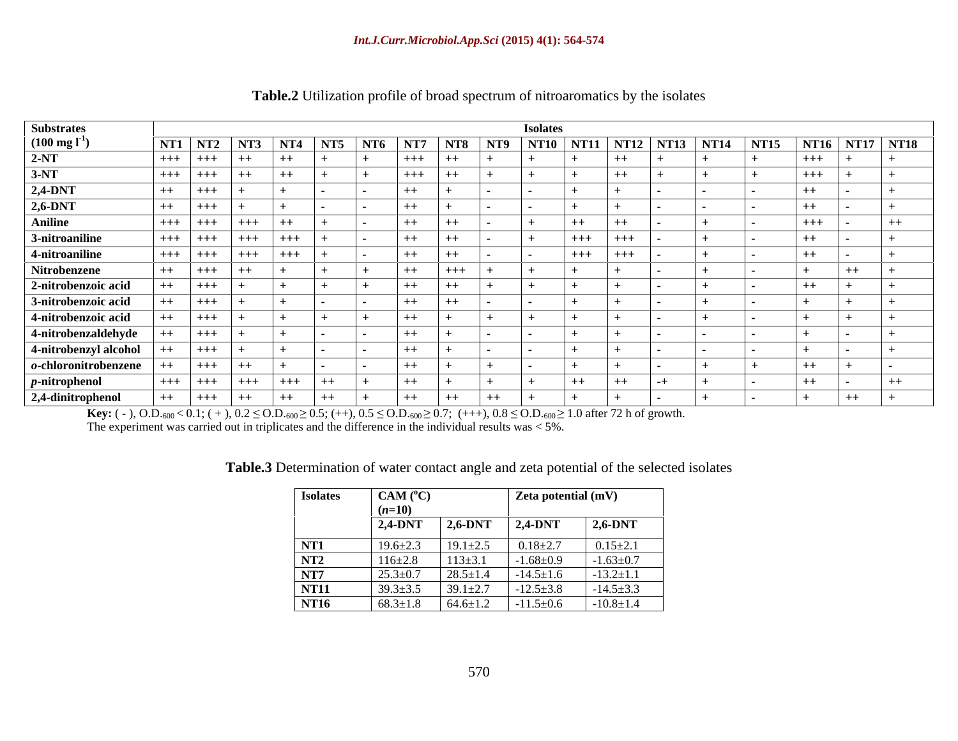| <b>Substrates</b>         |         |                |         |         |      |       |                  |       | <b>Isolates</b> |                                                                             |         |  |         |                         |  |
|---------------------------|---------|----------------|---------|---------|------|-------|------------------|-------|-----------------|-----------------------------------------------------------------------------|---------|--|---------|-------------------------|--|
| $(100 \text{ mg l}^{-1})$ |         | NT1 NT2 NT3    |         |         |      |       |                  |       |                 | NT4   NT5   NT6   NT7   NT8   NT9   NT10   NT11   NT12   NT13   NT14   NT15 |         |  |         | $N$ T16 $N$ T17 $N$ T18 |  |
| $2-NT$                    |         | +++   +++   ++ |         | $+$     | $+$  | $+++$ | $+$              |       |                 |                                                                             | $++$    |  | $+++$   |                         |  |
| $3-NT$                    |         | +++   +++      | $+$     | $+$     |      | $+++$ | $^{++}$          |       |                 |                                                                             | $++$    |  | $+++$   |                         |  |
| 2,4-DNT                   | $++$    | $1 + + +$ $1$  |         |         |      | $++$  |                  |       |                 |                                                                             |         |  |         |                         |  |
| $2,6-DNT$                 | $++$    | $+++$          |         |         |      | $++$  |                  |       |                 |                                                                             |         |  | $+ +$   |                         |  |
| <b>Aniline</b>            |         | $+++$ +++      | $+++$   | $+$     |      | $++$  | $++$             |       |                 | $++$                                                                        | $++$    |  | $+++$   | $^{++}$                 |  |
| 3-nitroaniline            |         | $+++$ $+++$    | $+ + +$ | $+ + +$ |      | $++$  | $^{\mathrm{++}}$ |       |                 | $+++$                                                                       | $+++$   |  |         |                         |  |
| 4-nitroaniline            |         | $+++$ $+++$    | $+ + +$ | $+++$   |      | $++$  | $^{++}$          |       |                 | $+++$                                                                       | $+ + +$ |  | $^{++}$ |                         |  |
| Nitrobenzene              | $++$    | $+ + +$        | $++$    |         |      | $++$  | $+++$            |       |                 |                                                                             |         |  |         | $^{++}$                 |  |
| 2-nitrobenzoic acid       |         | $+ + +$        |         |         |      | $++$  | $++$             |       |                 |                                                                             |         |  | $++$    |                         |  |
| 3-nitrobenzoic acid       |         | $+ + +$        |         |         |      | $++$  | $^{++}$          |       |                 |                                                                             |         |  |         |                         |  |
|                           |         |                |         |         |      |       |                  |       |                 |                                                                             |         |  |         |                         |  |
| 4-nitrobenzoic acid       |         | $+ + +$        |         |         |      | $++$  |                  |       |                 |                                                                             |         |  |         |                         |  |
| 4-nitrobenzaldehyde       | $^{++}$ | $+ + +$        |         |         |      | $++$  |                  |       |                 |                                                                             |         |  |         |                         |  |
| 4-nitrobenzyl alcohol     | $++$    | $+ + +$        |         |         |      | $++$  |                  |       |                 |                                                                             |         |  |         |                         |  |
| $o$ -chloronitrobenzene   | $++$    | $+ + +$        | $+ +$   |         |      | $++$  |                  |       |                 |                                                                             |         |  |         |                         |  |
| $p$ -nitrophenol          |         | $+++$ +++      | $+++$   | $+++$   | ++   | $++$  |                  |       |                 | $++$                                                                        | $++$    |  | $^{++}$ | $^{++}$                 |  |
| 2,4-dinitrophenol         | $++$    | $+++$ $++$     |         | $+$     | $++$ | $++$  | $++$             | $+ +$ |                 |                                                                             |         |  |         | $++$                    |  |

### **Table.2** Utilization profile of broad spectrum of nitroaromatics by the isolates

**Key:** (-), O.D.<sub>600</sub> < 0.1; (+),  $0.2 \leq$  O.D.<sub>600</sub>  $\geq$  0.5; (++),  $0.5 \leq$  O.D.<sub>600</sub>  $\geq$  0.7; (+++),  $0.8 \leq$  O.D.<sub>600</sub>  $\geq$  1.0 after 72 h of growth.

The experiment was carried out in triplicates and the difference in the individual results was < 5%.

| Table.3 Determination of water contact angle and zeta potential of the selected isolates |  |  |
|------------------------------------------------------------------------------------------|--|--|
|                                                                                          |  |  |

| <b>Isolates</b> | CAM (°C)       |                | Zeta potential (mV) |                 |
|-----------------|----------------|----------------|---------------------|-----------------|
|                 | $(n=10)$       |                |                     |                 |
|                 | $2,4-DNT$      | $2,6$ -DNT     | $1,2,4$ -DNT        | $2,6-DNT$       |
| $\frac{NT1}{T}$ | $19.6 \pm 2.3$ | $19.1 \pm 2.5$ | $0.18 \pm 2.7$      | $0.15 \pm 2.1$  |
| NT2             | $116 \pm 2.8$  | $113 \pm 3.1$  | $-1.68 + 0.9$       | $-1.63 \pm 0.7$ |
| NT7             | $25.3 \pm 0.7$ | $28.5 \pm 1.4$ | $-14.5 \pm 1.6$     | $-13.2 \pm 1.1$ |
| NT11            | $39.3 \pm 3.5$ | $39.1 \pm 2.7$ | $-12.5 \pm 3.8$     | $-14.5 \pm 3.3$ |
| <b>NT16</b>     | $68.3 \pm 1.8$ | $64.6 \pm 1.2$ | $-11.5+0.6$         | $-10.8 \pm 1.4$ |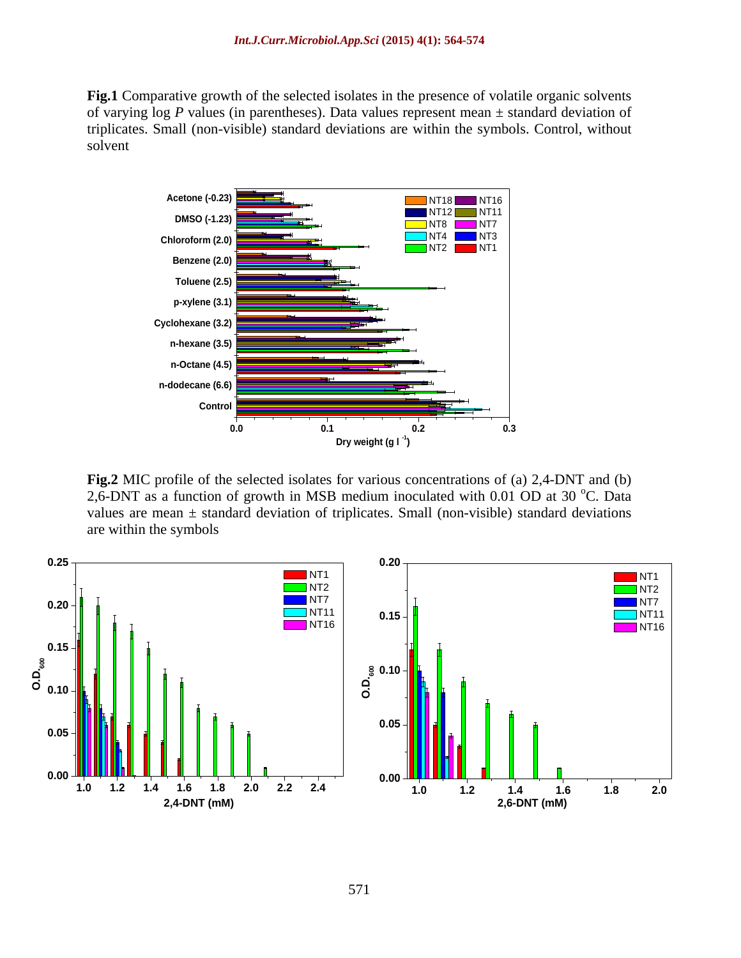**Fig.1** Comparative growth of the selected isolates in the presence of volatile organic solvents of varying log *P* values (in parentheses). Data values represent mean  $\pm$  standard deviation of triplicates. Small (non-visible) standard deviations are within the symbols. Control, without solvent



**Fig.2** MIC profile of the selected isolates for various concentrations of (a) 2,4-DNT and (b) 2,6-DNT as a function of growth in MSB medium inoculated with 0.01 OD at 30  $^{\circ}$ C. Data <sup>o</sup>C. Data values are mean  $\pm$  standard deviation of triplicates. Small (non-visible) standard deviations are within the symbols

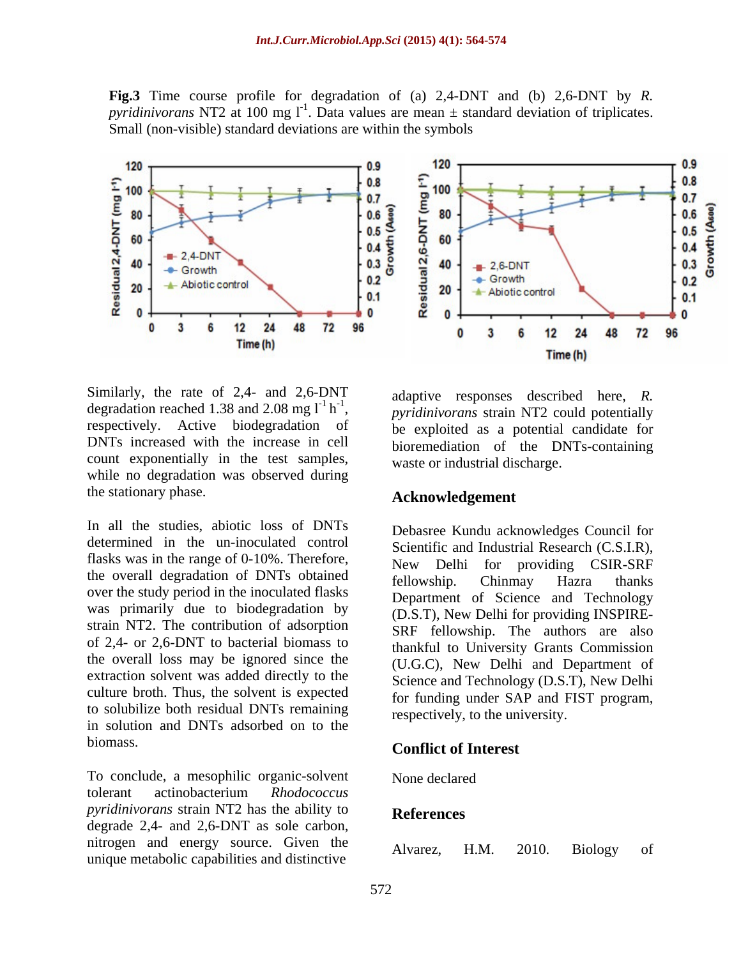**Fig.3** Time course profile for degradation of (a) 2,4-DNT and (b) 2,6-DNT by *R. pyridinivorans* NT2 at 100 mg  $I<sup>-1</sup>$ . Data values are mean  $\pm$  standard deviation of triplicates. Small (non-visible) standard deviations are within the symbols



Similarly, the rate of 2,4- and 2,6-DNT degradation reached 1.38 and 2.08 mg  $l^{-1} h^{-1}$ , degradation reached 1.38 and 2.08 mg  $1^{-1}$  h<sup>-1</sup>, pyridinivorans strain NT2 could potentially respectively. Active biodegradation of be exploited as a potential candidate for DNTs increased with the increase in cell bioremediation of the DNTs-containing count exponentially in the test samples, while no degradation was observed during the stationary phase.

In all the studies, abiotic loss of DNTs determined in the un-inoculated control flasks was in the range of 0-10%. Therefore,<br>New Delhi for providing CSIR-SRF the overall degradation of DNTs obtained<br>fellowship. Chinmay Hazra thanks over the study period in the inoculated flasks was primarily due to biodegradation by strain NT2. The contribution of adsorption of 2,4- or 2,6-DNT to bacterial biomass to the overall loss may be ignored since the extraction solvent was added directly to the culture broth. Thus, the solvent is expected to solubilize both residual DNTs remaining in solution and DNTs adsorbed on to the biomass. **Conflict of Interest**

To conclude, a mesophilic organic-solvent tolerant actinobacterium *Rhodococcus pyridinivorans* strain NT2 has the ability to degrade  $2.4$ - and  $2.6$ -DNT as sole carbon, nitrogen and energy source. Given the Alvarez, H.M. 2010. Biology of unique metabolic capabilities and distinctive



-1 adquire responses appended nere, it adaptive responses described here, *R. pyridinivorans* strain NT2 could potentially be exploited as a potential candidate for waste or industrial discharge.

#### **Acknowledgement**

Debasree Kundu acknowledges Council for Scientific and Industrial Research (C.S.I.R), New Delhi for providing CSIR-SRF fellowship. Chinmay Hazra thanks Department of Science and Technology (D.S.T), New Delhi for providing INSPIRE- SRF fellowship. The authors are also thankful to University Grants Commission (U.G.C), New Delhi and Department of Science and Technology (D.S.T), New Delhi for funding under SAP and FIST program, respectively, to the university.

None declared **None** section of the section of the section of the section of the section of the section of the section of the section of the section of the section of the section of the section of the section of the sectio

#### **References**

Alvarez, H.M. 2010. Biology of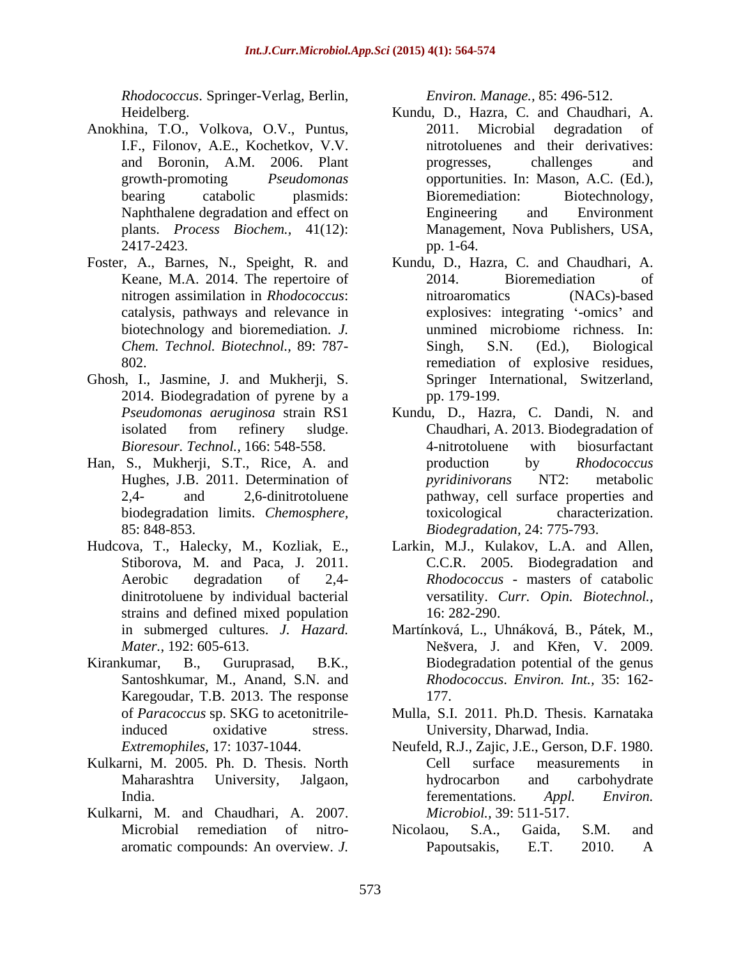*Rhodococcus*. Springer-Verlag, Berlin,

- Anokhina, T.O., Volkova, O.V., Puntus,
- Foster, A., Barnes, N., Speight, R. and biotechnology and bioremediation. *J.*
- Ghosh, I., Jasmine, J. and Mukherji, S. 2014. Biodegradation of pyrene by a pp. 179-199.
- Han, S., Mukherji, S.T., Rice, A. and production by *Rhodococcus* biodegradation limits. *Chemosphere,*
- strains and defined mixed population 16: 282-290.
- Santoshkumar, M., Anand, S.N. and Karegoudar, T.B. 2013. The response 177. of *Paracoccus* sp. SKG to acetonitrile-
- 
- Kulkarni, M. and Chaudhari, A. 2007.

*Environ. Manage.,* 85: 496-512.

- Heidelberg. Kundu, D., Hazra, C. and Chaudhari, A. I.F., Filonov, A.E., Kochetkov, V.V. nitrotoluenes and their derivatives: and Boronin, A.M. 2006. Plant growth-promoting *Pseudomonas* opportunities. In: Mason, A.C. (Ed.), bearing catabolic plasmids: Bioremediation: Biotechnology, Naphthalene degradation and effect on Engineering and Environment plants. *Process Biochem.,* 41(12): Management, Nova Publishers, USA, 2417-2423. pp. 1-64. 2011. Microbial degradation of progresses, challenges and Bioremediation: Biotechnology, Engineering and Environment pp. 1-64.
- Keane, M.A. 2014. The repertoire of 2014. Bioremediation of nitrogen assimilation in *Rhodococcus*: catalysis, pathways and relevance in explosives: integrating '-omics' and *Chem. Technol. Biotechnol.,* 89: 787- 802. remediation of explosive residues, Kundu, D., Hazra, C. and Chaudhari, A. 2014. Bioremediation of nitroaromatics (NACs)-based unmined microbiome richness. In: Singh, S.N. (Ed.), Biological Springer International, Switzerland, pp. 179-199.
- *Pseudomonas aeruginosa* strain RS1 Kundu, D., Hazra, C. Dandi, N. and isolated from refinery sludge. Chaudhari, A. 2013. Biodegradation of *Bioresour. Technol.,* 166: 548-558. Hughes, J.B. 2011. Determination of *pyridinivorans* NT2: metabolic 2,4- and 2,6-dinitrotoluene pathway, cell surface properties and 85: 848-853. *Biodegradation,* 24: 775-793. Chaudhari, A. 2013. Biodegradation of 4-nitrotoluene with biosurfactant production by *Rhodococcus pyridinivorans* NT2: metabolic characterization.
- Hudcova, T., Halecky, M., Kozliak, E., Larkin, M.J., Kulakov, L.A. and Allen, Stiborova, M. and Paca, J. 2011. C.C.R. 2005. Biodegradation and Aerobic degradation of 2,4- *Rhodococcus* - masters of catabolic dinitrotoluene by individual bacterial versatility. *Curr. Opin. Biotechnol.,* 16: 282-290.
- in submerged cultures. *J. Hazard*. Martínková, L., Uhnáková, B., Pátek, M., *Mater.*, 192: 605-613. Kirankumar, B., Guruprasad, B.K., Biodegradation potential of the genus Nešvera, J. and Křen, V. 2009. *Rhodococcus*. *Environ. Int.,* 35: 162- 177.
	- induced oxidative stress. University, Dharwad, India. Mulla, S.I. 2011. Ph.D. Thesis. Karnataka
- *Extremophiles,* 17: 1037-1044. Neufeld, R.J., Zajic, J.E., Gerson, D.F. 1980. Kulkarni, M. 2005. Ph. D. Thesis. North Maharashtra University, Jalgaon, India. Appl. Environ. **India**. Cell surface measurements in hydrocarbon and carbohydrate ferementations. *Appl. Environ. Microbiol.,* 39: 511-517.
	- Microbial remediation of nitro-<br>
	Nicolaou, S.A., Gaida, S.M. and aromatic compounds: An overview. *J.*  Nicolaou, S.A., Gaida, S.M. and Papoutsakis, E.T. 2010. A